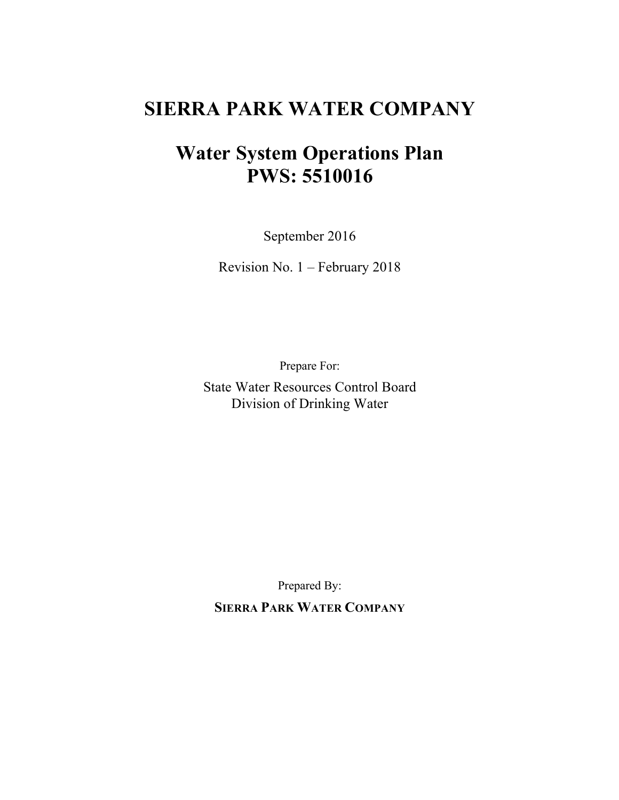# **SIERRA PARK WATER COMPANY**

# **Water System Operations Plan PWS: 5510016**

September 2016

Revision No. 1 – February 2018

Prepare For:

State Water Resources Control Board Division of Drinking Water

Prepared By: **SIERRA PARK WATER COMPANY**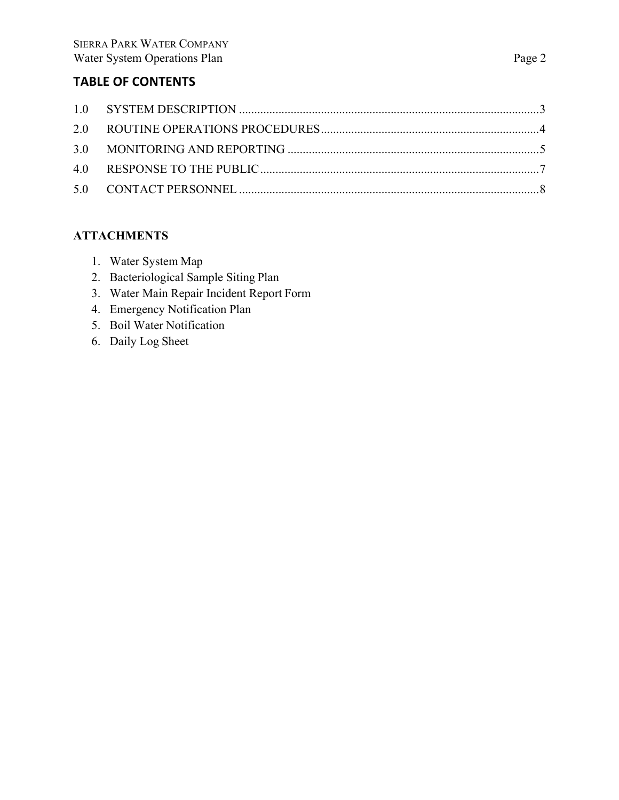# **TABLE OF CONTENTS**

# **ATTACHMENTS**

| Water System Map |  |
|------------------|--|
|------------------|--|

- 2. Bacteriological Sample Siting Plan
- 3. Water Main Repair Incident Report Form
- 4. Emergency Notification Plan
- 5. Boil Water Notification
- 6. Daily Log Sheet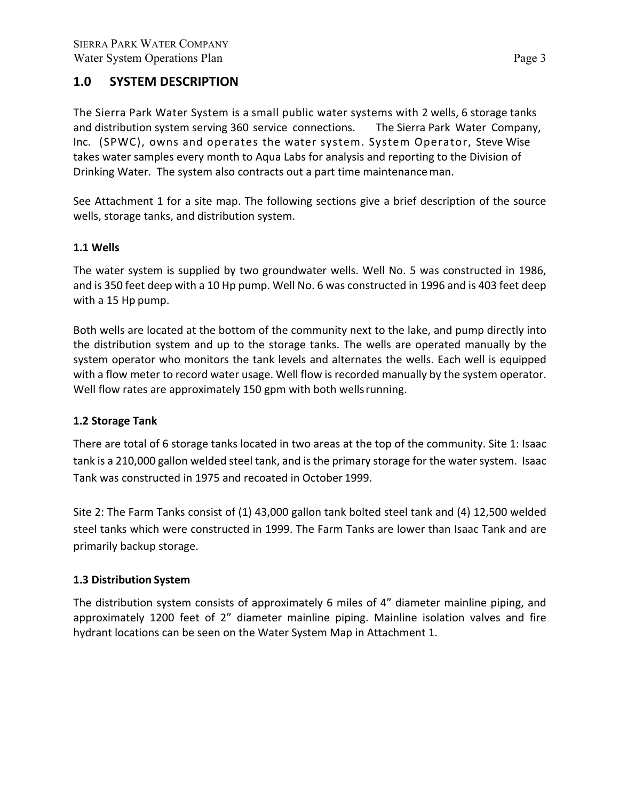## **1.0 SYSTEM DESCRIPTION**

The Sierra Park Water System is a small public water systems with 2 wells, 6 storage tanks and distribution system serving 360 service connections. The Sierra Park Water Company, Inc. (SPWC), owns and operates the water system. System Operator, Steve Wise takes water samples every month to Aqua Labs for analysis and reporting to the Division of Drinking Water. The system also contracts out a part time maintenance man.

See Attachment 1 for a site map. The following sections give a brief description of the source wells, storage tanks, and distribution system.

#### **1.1 Wells**

The water system is supplied by two groundwater wells. Well No. 5 was constructed in 1986, and is 350 feet deep with a 10 Hp pump. Well No. 6 was constructed in 1996 and is 403 feet deep with a 15 Hp pump.

Both wells are located at the bottom of the community next to the lake, and pump directly into the distribution system and up to the storage tanks. The wells are operated manually by the system operator who monitors the tank levels and alternates the wells. Each well is equipped with a flow meter to record water usage. Well flow is recorded manually by the system operator. Well flow rates are approximately 150 gpm with both wells running.

#### **1.2 Storage Tank**

There are total of 6 storage tanks located in two areas at the top of the community. Site 1: Isaac tank is a 210,000 gallon welded steel tank, and is the primary storage for the water system. Isaac Tank was constructed in 1975 and recoated in October 1999.

Site 2: The Farm Tanks consist of (1) 43,000 gallon tank bolted steel tank and (4) 12,500 welded steel tanks which were constructed in 1999. The Farm Tanks are lower than Isaac Tank and are primarily backup storage.

#### **1.3 Distribution System**

The distribution system consists of approximately 6 miles of  $4<sup>n</sup>$  diameter mainline piping, and approximately 1200 feet of 2" diameter mainline piping. Mainline isolation valves and fire hydrant locations can be seen on the Water System Map in Attachment 1.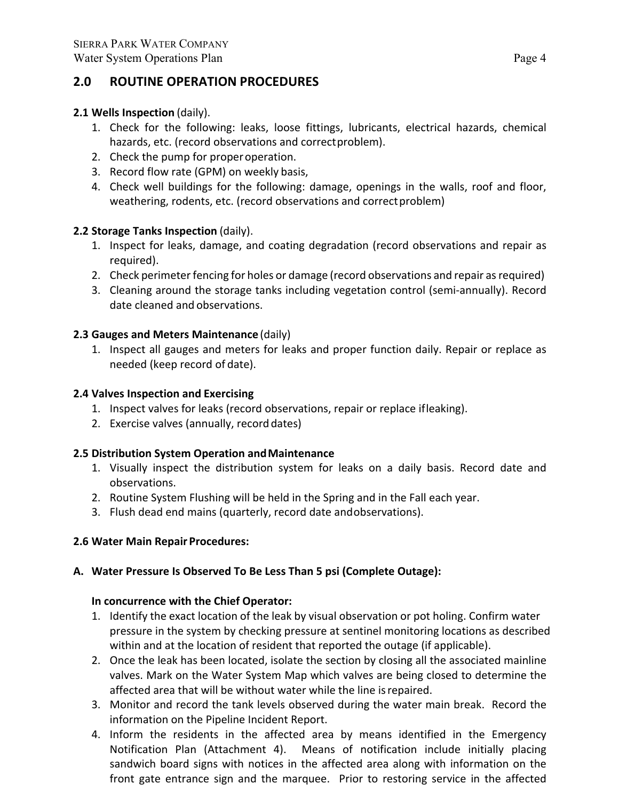#### **2.0 ROUTINE OPERATION PROCEDURES**

#### **2.1 Wells Inspection** (daily).

- 1. Check for the following: leaks, loose fittings, lubricants, electrical hazards, chemical hazards, etc. (record observations and correct problem).
- 2. Check the pump for proper operation.
- 3. Record flow rate (GPM) on weekly basis,
- 4. Check well buildings for the following: damage, openings in the walls, roof and floor, weathering, rodents, etc. (record observations and correct problem)

#### **2.2 Storage Tanks Inspection** (daily).

- 1. Inspect for leaks, damage, and coating degradation (record observations and repair as required).
- 2. Check perimeter fencing for holes or damage (record observations and repair as required)
- 3. Cleaning around the storage tanks including vegetation control (semi-annually). Record date cleaned and observations.

#### **2.3 Gauges and Meters Maintenance (daily)**

1. Inspect all gauges and meters for leaks and proper function daily. Repair or replace as needed (keep record of date).

#### **2.4 Valves Inspection and Exercising**

- 1. Inspect valves for leaks (record observations, repair or replace ifleaking).
- 2. Exercise valves (annually, record dates)

#### **2.5 Distribution System Operation andMaintenance**

- 1. Visually inspect the distribution system for leaks on a daily basis. Record date and observations.
- 2. Routine System Flushing will be held in the Spring and in the Fall each year.
- 3. Flush dead end mains (quarterly, record date andobservations).

#### **2.6 Water Main Repair Procedures:**

#### A. Water Pressure Is Observed To Be Less Than 5 psi (Complete Outage):

#### **In concurrence with the Chief Operator:**

- 1. Identify the exact location of the leak by visual observation or pot holing. Confirm water pressure in the system by checking pressure at sentinel monitoring locations as described within and at the location of resident that reported the outage (if applicable).
- 2. Once the leak has been located, isolate the section by closing all the associated mainline valves. Mark on the Water System Map which valves are being closed to determine the affected area that will be without water while the line is repaired.
- 3. Monitor and record the tank levels observed during the water main break. Record the information on the Pipeline Incident Report.
- 4. Inform the residents in the affected area by means identified in the Emergency Notification Plan (Attachment 4). Means of notification include initially placing sandwich board signs with notices in the affected area along with information on the front gate entrance sign and the marquee. Prior to restoring service in the affected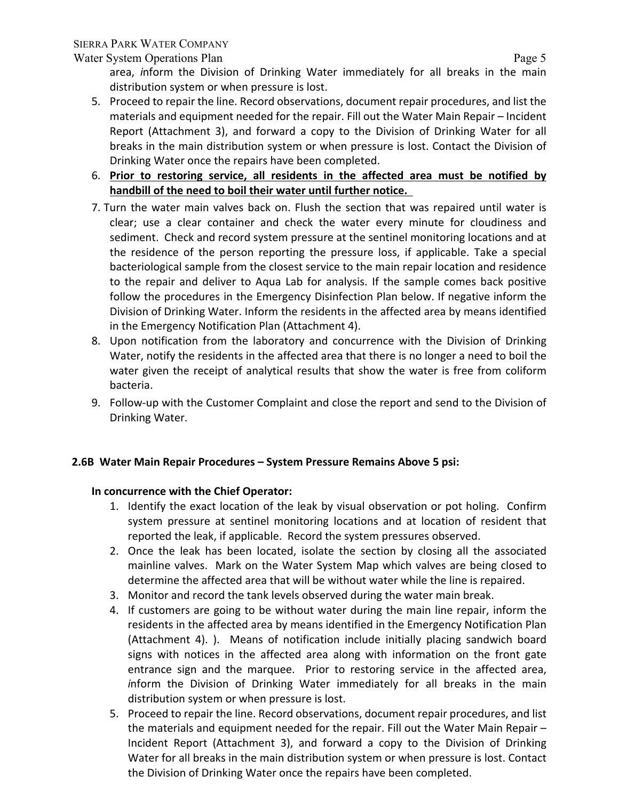#### SIERRA PARK WATER COMPANY

#### Water System Operations Plan Page 5

area, *inform* the Division of Drinking Water immediately for all breaks in the main distribution system or when pressure is lost.

- 5. Proceed to repair the line. Record observations, document repair procedures, and list the materials and equipment needed for the repair. Fill out the Water Main Repair – Incident Report (Attachment 3), and forward a copy to the Division of Drinking Water for all breaks in the main distribution system or when pressure is lost. Contact the Division of Drinking Water once the repairs have been completed.
- 6. Prior to restoring service, all residents in the affected area must be notified by handbill of the need to boil their water until further notice.
- 7. Turn the water main valves back on. Flush the section that was repaired until water is clear; use a clear container and check the water every minute for cloudiness and sediment. Check and record system pressure at the sentinel monitoring locations and at the residence of the person reporting the pressure loss, if applicable. Take a special bacteriological sample from the closest service to the main repair location and residence to the repair and deliver to Aqua Lab for analysis. If the sample comes back positive follow the procedures in the Emergency Disinfection Plan below. If negative inform the Division of Drinking Water. Inform the residents in the affected area by means identified in the Emergency Notification Plan (Attachment 4).
- 8. Upon notification from the laboratory and concurrence with the Division of Drinking Water, notify the residents in the affected area that there is no longer a need to boil the water given the receipt of analytical results that show the water is free from coliform bacteria.
- 9. Follow-up with the Customer Complaint and close the report and send to the Division of Drinking Water.

#### **2.6B Water Main Repair Procedures – System Pressure Remains Above 5 psi:**

#### **In concurrence with the Chief Operator:**

- 1. Identify the exact location of the leak by visual observation or pot holing. Confirm system pressure at sentinel monitoring locations and at location of resident that reported the leak, if applicable. Record the system pressures observed.
- 2. Once the leak has been located, isolate the section by closing all the associated mainline valves. Mark on the Water System Map which valves are being closed to determine the affected area that will be without water while the line is repaired.
- 3. Monitor and record the tank levels observed during the water main break.
- 4. If customers are going to be without water during the main line repair, inform the residents in the affected area by means identified in the Emergency Notification Plan (Attachment 4). ). Means of notification include initially placing sandwich board signs with notices in the affected area along with information on the front gate entrance sign and the marquee. Prior to restoring service in the affected area, *i*nform the Division of Drinking Water immediately for all breaks in the main distribution system or when pressure is lost.
- 5. Proceed to repair the line. Record observations, document repair procedures, and list the materials and equipment needed for the repair. Fill out the Water Main Repair  $-$ Incident Report (Attachment 3), and forward a copy to the Division of Drinking Water for all breaks in the main distribution system or when pressure is lost. Contact the Division of Drinking Water once the repairs have been completed.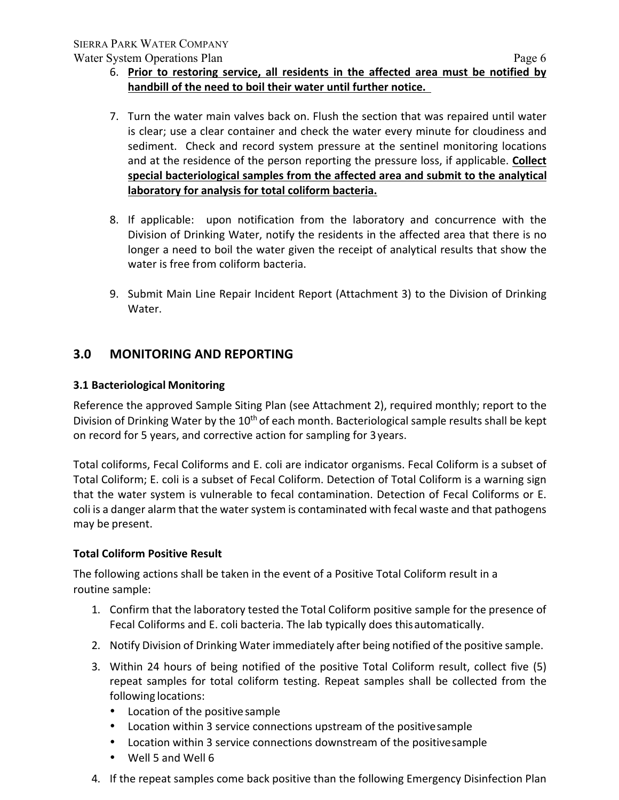#### Water System Operations Plan Page 6

- 6. Prior to restoring service, all residents in the affected area must be notified by handbill of the need to boil their water until further notice.
- 7. Turn the water main valves back on. Flush the section that was repaired until water is clear; use a clear container and check the water every minute for cloudiness and sediment. Check and record system pressure at the sentinel monitoring locations and at the residence of the person reporting the pressure loss, if applicable. Collect special bacteriological samples from the affected area and submit to the analytical laboratory for analysis for total coliform bacteria.
- 8. If applicable: upon notification from the laboratory and concurrence with the Division of Drinking Water, notify the residents in the affected area that there is no longer a need to boil the water given the receipt of analytical results that show the water is free from coliform bacteria.
- 9. Submit Main Line Repair Incident Report (Attachment 3) to the Division of Drinking Water.

# **3.0 MONITORING AND REPORTING**

#### **3.1 Bacteriological Monitoring**

Reference the approved Sample Siting Plan (see Attachment 2), required monthly; report to the Division of Drinking Water by the 10<sup>th</sup> of each month. Bacteriological sample results shall be kept on record for 5 years, and corrective action for sampling for 3 years.

Total coliforms, Fecal Coliforms and E. coli are indicator organisms. Fecal Coliform is a subset of Total Coliform; E. coli is a subset of Fecal Coliform. Detection of Total Coliform is a warning sign that the water system is vulnerable to fecal contamination. Detection of Fecal Coliforms or E. coli is a danger alarm that the water system is contaminated with fecal waste and that pathogens may be present.

## **Total Coliform Positive Result**

The following actions shall be taken in the event of a Positive Total Coliform result in a routine sample:

- 1. Confirm that the laboratory tested the Total Coliform positive sample for the presence of Fecal Coliforms and E. coli bacteria. The lab typically does this automatically.
- 2. Notify Division of Drinking Water immediately after being notified of the positive sample.
- 3. Within 24 hours of being notified of the positive Total Coliform result, collect five (5) repeat samples for total coliform testing. Repeat samples shall be collected from the following locations:
	- Location of the positive sample
	- Location within 3 service connections upstream of the positive sample
	- Location within 3 service connections downstream of the positive sample
	- Well 5 and Well 6
- 4. If the repeat samples come back positive than the following Emergency Disinfection Plan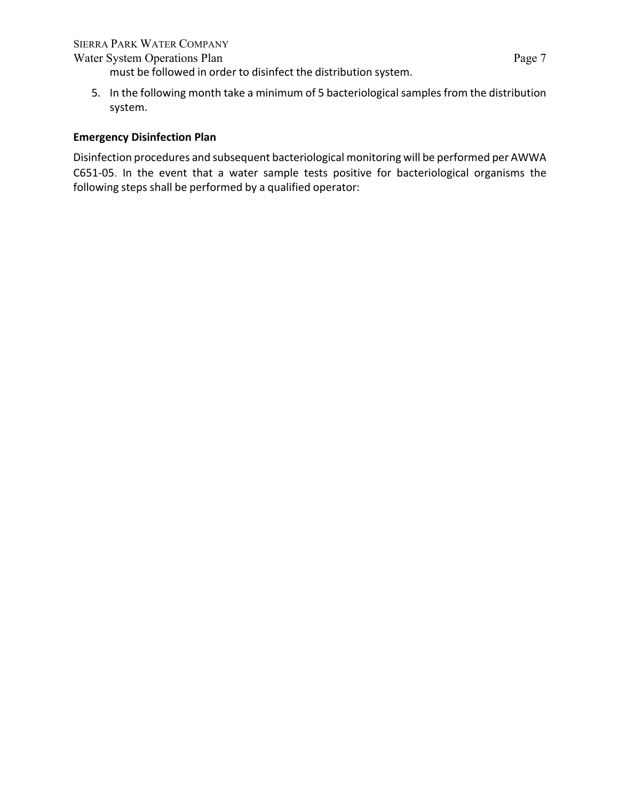#### SIERRA PARK WATER COMPANY

Water System Operations Plan Page 7

must be followed in order to disinfect the distribution system.

5. In the following month take a minimum of 5 bacteriological samples from the distribution system.

#### **Emergency Disinfection Plan**

Disinfection procedures and subsequent bacteriological monitoring will be performed per AWWA C651-05. In the event that a water sample tests positive for bacteriological organisms the following steps shall be performed by a qualified operator: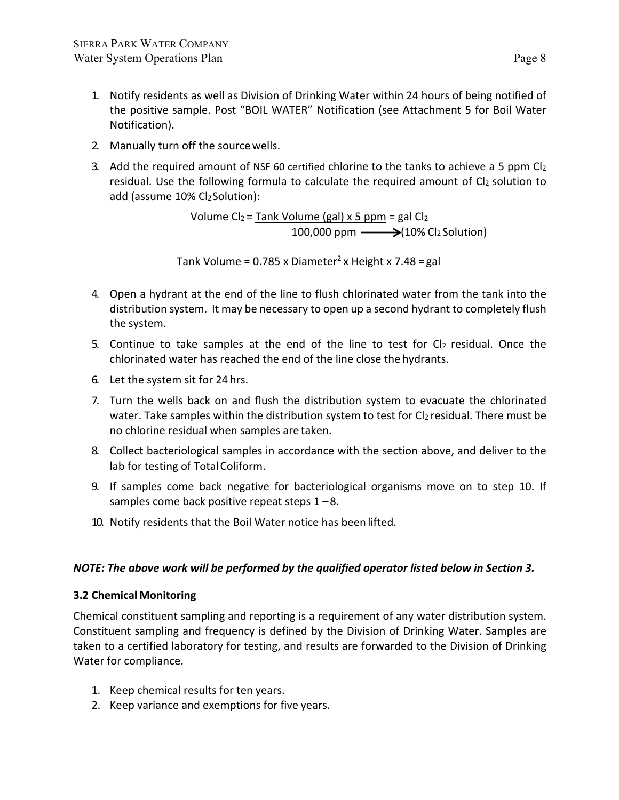- 1. Notify residents as well as Division of Drinking Water within 24 hours of being notified of the positive sample. Post "BOIL WATER" Notification (see Attachment 5 for Boil Water Notification).
- 2. Manually turn off the source wells.
- 3. Add the required amount of NSF 60 certified chlorine to the tanks to achieve a 5 ppm  $Cl<sub>2</sub>$ residual. Use the following formula to calculate the required amount of  $Cl<sub>2</sub>$  solution to add (assume 10% Cl2Solution):

Volume  $Cl_2$  = Tank Volume (gal) x 5 ppm = gal  $Cl_2$ 100,000 ppm  $\longrightarrow$  (10% Cl<sub>2</sub> Solution)

Tank Volume = 0.785 x Diameter<sup>2</sup> x Height x 7.48 = gal

- 4. Open a hydrant at the end of the line to flush chlorinated water from the tank into the distribution system. It may be necessary to open up a second hydrant to completely flush the system.
- 5. Continue to take samples at the end of the line to test for Cl2 residual. Once the chlorinated water has reached the end of the line close the hydrants.
- 6. Let the system sit for 24 hrs.
- 7. Turn the wells back on and flush the distribution system to evacuate the chlorinated water. Take samples within the distribution system to test for  $Cl<sub>2</sub>$  residual. There must be no chlorine residual when samples are taken.
- 8. Collect bacteriological samples in accordance with the section above, and deliver to the lab for testing of Total Coliform.
- 9. If samples come back negative for bacteriological organisms move on to step 10. If samples come back positive repeat steps  $1 - 8$ .
- 10. Notify residents that the Boil Water notice has been lifted.

#### *NOTE:* The above work will be performed by the qualified operator listed below in Section 3.

#### **3.2 Chemical Monitoring**

Chemical constituent sampling and reporting is a requirement of any water distribution system. Constituent sampling and frequency is defined by the Division of Drinking Water. Samples are taken to a certified laboratory for testing, and results are forwarded to the Division of Drinking Water for compliance.

- 1. Keep chemical results for ten years.
- 2. Keep variance and exemptions for five years.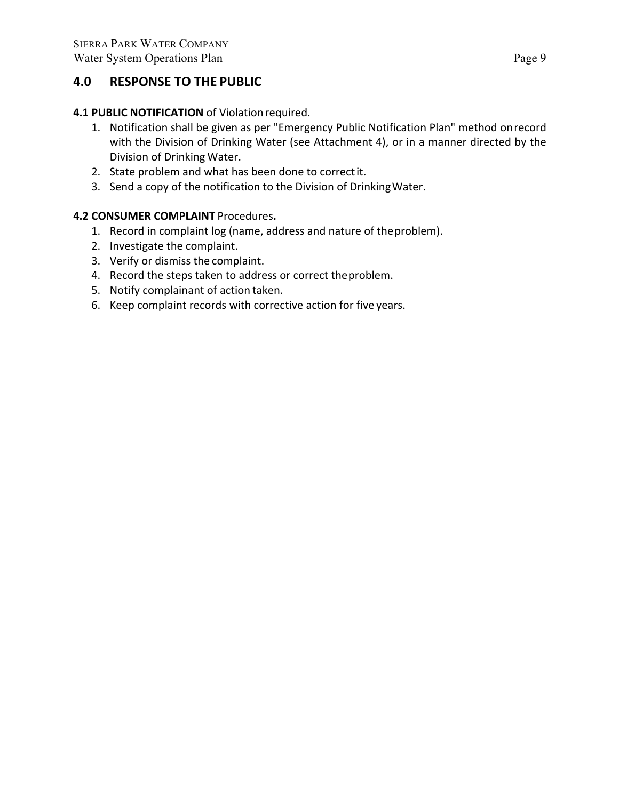### **4.0 RESPONSE TO THE PUBLIC**

#### **4.1 PUBLIC NOTIFICATION** of Violation required.

- 1. Notification shall be given as per "Emergency Public Notification Plan" method on record with the Division of Drinking Water (see Attachment 4), or in a manner directed by the Division of Drinking Water.
- 2. State problem and what has been done to correctit.
- 3. Send a copy of the notification to the Division of Drinking Water.

#### **4.2 CONSUMER COMPLAINT** Procedures**.**

- 1. Record in complaint log (name, address and nature of the problem).
- 2. Investigate the complaint.
- 3. Verify or dismiss the complaint.
- 4. Record the steps taken to address or correct theproblem.
- 5. Notify complainant of action taken.
- 6. Keep complaint records with corrective action for five years.